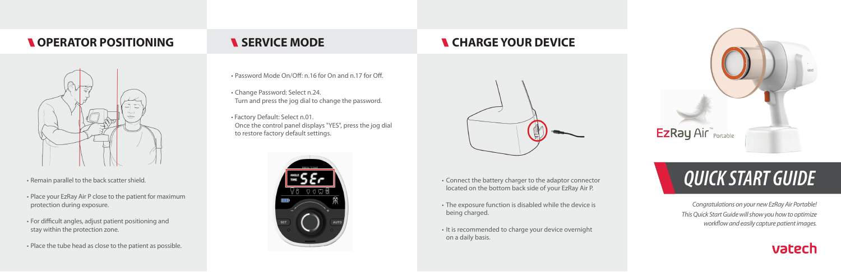- 
- The exposure function is disabled while the device is being charged.
- It is recommended to charge your device overnight on a daily basis.



# • Connect the battery charger to the adaptor connector *QUICK START GUIDE*

- Password Mode On/Off: n.16 for On and n.17 for Off.
- Change Password: Select n.24. Turn and press the jog dial to change the password.
- Factory Default: Select n.01. Once the control panel displays "YES", press the jog dial to restore factory default settings.

*Congratulations on your new EzRay Air Portable! This Quick Start Guide will show you how to optimize workflow and easily capture patient images.* 







### **N** OPERATOR POSITIONING **N** SERVICE MODE **SERVICE SERVICE**



- Remain parallel to the back scatter shield.
- Place your EzRay Air P close to the patient for maximum protection during exposure.
- For difficult angles, adjust patient positioning and stay within the protection zone.
- Place the tube head as close to the patient as possible.